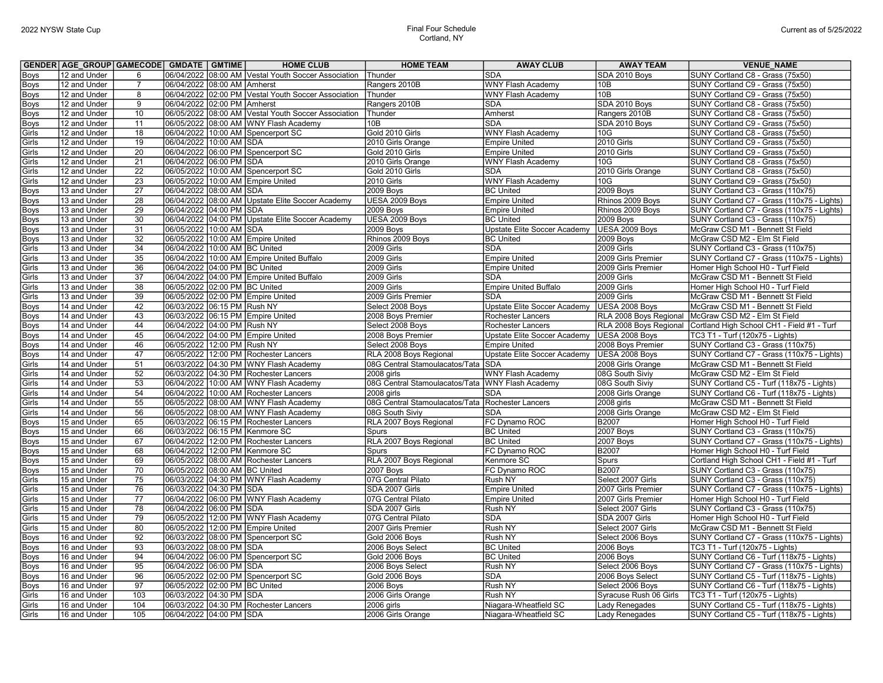## Cortland, NY

|             | GENDER AGE GROUP GAMECODE GMDATE GMTIME |                 |                               | <b>HOME CLUB</b>                                    | <b>HOME TEAM</b>                                 | <b>AWAY CLUB</b>                    | <b>AWAY TEAM</b>       | <b>VENUE_NAME</b>                                   |
|-------------|-----------------------------------------|-----------------|-------------------------------|-----------------------------------------------------|--------------------------------------------------|-------------------------------------|------------------------|-----------------------------------------------------|
| Boys        | 12 and Under                            | 6               |                               | 06/04/2022 08:00 AM Vestal Youth Soccer Association | Thunder                                          | <b>SDA</b>                          | SDA 2010 Boys          | SUNY Cortland C8 - Grass (75x50)                    |
| Boys        | 12 and Under                            | 7               | 06/04/2022 08:00 AM Amherst   |                                                     | Rangers 2010B                                    | <b>WNY Flash Academy</b>            | 10B                    | SUNY Cortland C9 - Grass (75x50)                    |
| Boys        | 12 and Under                            | 8               |                               | 06/04/2022 02:00 PM Vestal Youth Soccer Association | Thunder                                          | WNY Flash Academy                   | 10B                    | SUNY Cortland C9 - Grass (75x50)                    |
| Boys        | 12 and Under                            | 9               | 06/04/2022 02:00 PM Amherst   |                                                     | Rangers 2010B                                    | <b>SDA</b>                          | SDA 2010 Boys          | SUNY Cortland C8 - Grass (75x50)                    |
| Boys        | 12 and Under                            | 10              |                               | 06/05/2022 08:00 AM Vestal Youth Soccer Association | Thunder                                          | Amherst                             | Rangers 2010B          | SUNY Cortland C8 - Grass (75x50)                    |
| Boys        | 12 and Under                            | 11              | 06/05/2022                    | 08:00 AM WNY Flash Academy                          | 10 <sub>B</sub>                                  | <b>SDA</b>                          | SDA 2010 Boys          | SUNY Cortland C9 - Grass (75x50)                    |
| Girls       | 12 and Under                            | 18              |                               | 06/04/2022 10:00 AM Spencerport SC                  | Gold 2010 Girls                                  | <b>WNY Flash Academy</b>            | 10G                    | SUNY Cortland C8 - Grass (75x50)                    |
| Girls       | 12 and Under                            | 19              | 06/04/2022 10:00 AM SDA       |                                                     | 2010 Girls Orange                                | <b>Empire United</b>                | 2010 Girls             | SUNY Cortland C9 - Grass (75x50)                    |
| Girls       | 12 and Under                            | $\overline{20}$ |                               | 06/04/2022 06:00 PM Spencerport SC                  | Gold 2010 Girls                                  | <b>Empire United</b>                | 2010 Girls             | SUNY Cortland C9 - Grass (75x50)                    |
| Girls       | 12 and Under                            | 21              | 06/04/2022 06:00 PM SDA       |                                                     | 2010 Girls Orange                                | <b>WNY Flash Academy</b>            | 10G                    | SUNY Cortland C8 - Grass (75x50)                    |
| Girls       | 12 and Under                            | $\overline{22}$ | 06/05/2022 10:00 AM           | Spencerport SC                                      | Gold 2010 Girls                                  | <b>SDA</b>                          | 2010 Girls Orange      | SUNY Cortland C8 - Grass (75x50)                    |
| Girls       | 12 and Under                            | 23              |                               | 06/05/2022 10:00 AM Empire United                   | 2010 Girls                                       | <b>WNY Flash Academy</b>            | 10G                    | SUNY Cortland C9 - Grass (75x50)                    |
| Boys        | 13 and Under                            | $\overline{27}$ | 06/04/2022 08:00 AM SDA       |                                                     | <b>2009 Boys</b>                                 | <b>BC United</b>                    | 2009 Boys              | SUNY Cortland C3 - Grass (110x75)                   |
| <b>Boys</b> | 13 and Under                            | 28              |                               | 06/04/2022 08:00 AM Upstate Elite Soccer Academy    | UESA 2009 Boys                                   | <b>Empire United</b>                | Rhinos 2009 Boys       | SUNY Cortland C7 - Grass (110x75 - Lights)          |
| Boys        | 13 and Under                            | $\overline{29}$ | 06/04/2022 04:00 PM SDA       |                                                     | 2009 Boys                                        | <b>Empire United</b>                | Rhinos 2009 Boys       | SUNY Cortland C7 - Grass (110x75 - Lights)          |
| Boys        | 13 and Under                            | 30              |                               | 06/04/2022 04:00 PM Upstate Elite Soccer Academy    | UESA 2009 Boys                                   | <b>BC United</b>                    | <b>2009 Boys</b>       | SUNY Cortland C3 - Grass (110x75)                   |
| Boys        | 13 and Under                            | 31              | 06/05/2022 10:00 AM SDA       |                                                     | <b>2009 Boys</b>                                 | Upstate Elite Soccer Academy        | UESA 2009 Boys         | McGraw CSD M1 - Bennett St Field                    |
| Boys        | 13 and Under                            | 32              |                               | 06/05/2022 10:00 AM Empire United                   | Rhinos 2009 Boys                                 | <b>BC United</b>                    | 2009 Boys              | McGraw CSD M2 - Elm St Field                        |
| Girls       | 13 and Under                            | 34              | 06/04/2022 10:00 AM BC United |                                                     | 2009 Girls                                       | <b>SDA</b>                          | 2009 Girls             | SUNY Cortland C3 - Grass (110x75)                   |
| Girls       | 13 and Under                            | 35              | 06/04/2022                    | 10:00 AM Empire United Buffalo                      | 2009 Girls                                       | <b>Empire United</b>                | 2009 Girls Premier     | SUNY Cortland C7 - Grass (110x75 - Lights)          |
| Girls       | 13 and Under                            | 36              | 06/04/2022 04:00 PM BC United |                                                     | 2009 Girls                                       | <b>Empire United</b>                | 2009 Girls Premier     | Homer High School H0 - Turf Field                   |
| Girls       | 13 and Under                            | 37              |                               | 06/04/2022 04:00 PM Empire United Buffalo           | 2009 Girls                                       | <b>SDA</b>                          | 2009 Girls             | McGraw CSD M1 - Bennett St Field                    |
| Girls       | 13 and Under                            | 38              | 06/05/2022 02:00 PM BC United |                                                     | 2009 Girls                                       | <b>Empire United Buffalo</b>        | 2009 Girls             | Homer High School H0 - Turf Field                   |
| Girls       | 13 and Under                            | 39              |                               | 06/05/2022 02:00 PM Empire United                   | 2009 Girls Premier                               | <b>SDA</b>                          | 2009 Girls             | McGraw CSD M1 - Bennett St Field                    |
| Boys        | 14 and Under                            | 42              | 06/03/2022 06:15 PM Rush NY   |                                                     | Select 2008 Boys                                 | Upstate Elite Soccer Academy        | UESA 2008 Boys         | McGraw CSD M1 - Bennett St Field                    |
| Boys        | 14 and Under                            | 43              |                               | 06/03/2022 06:15 PM Empire United                   | 2008 Boys Premier                                | Rochester Lancers                   |                        | RLA 2008 Boys Regional McGraw CSD M2 - Elm St Field |
| Boys        | 14 and Under                            | 44              | 06/04/2022 04:00 PM Rush NY   |                                                     | Select 2008 Boys                                 | Rochester Lancers                   | RLA 2008 Boys Regional | Cortland High School CH1 - Field #1 - Turf          |
| Boys        | 14 and Under                            | 45              |                               | 06/04/2022 04:00 PM Empire United                   | 2008 Boys Premier                                | <b>Upstate Elite Soccer Academy</b> | UESA 2008 Boys         | TC3 T1 - Turf (120x75 - Lights)                     |
| <b>Boys</b> | 14 and Under                            | 46              | 06/05/2022 12:00 PM Rush NY   |                                                     | Select 2008 Boys                                 | <b>Empire United</b>                | 2008 Boys Premier      | SUNY Cortland C3 - Grass (110x75)                   |
| <b>Boys</b> | 14 and Under                            | 47              |                               | 06/05/2022 12:00 PM Rochester Lancers               | RLA 2008 Boys Regional                           | Upstate Elite Soccer Academy        | UESA 2008 Boys         | SUNY Cortland C7 - Grass (110x75 - Lights)          |
| Girls       | 14 and Under                            | 51              |                               | 06/03/2022 04:30 PM WNY Flash Academy               | 08G Central Stamoulacatos/Tata                   | <b>SDA</b>                          | 2008 Girls Orange      | McGraw CSD M1 - Bennett St Field                    |
| Girls       | 14 and Under                            | 52              |                               | 06/03/2022 04:30 PM Rochester Lancers               | 2008 girls                                       | <b>WNY Flash Academy</b>            | 08G South Siviy        | McGraw CSD M2 - Elm St Field                        |
| Girls       | 14 and Under                            | 53              |                               | 06/04/2022 10:00 AM WNY Flash Academy               | 08G Central Stamoulacatos/Tata WNY Flash Academy |                                     | 08G South Siviy        | SUNY Cortland C5 - Turf (118x75 - Lights)           |
| Girls       | 14 and Under                            | 54              |                               | 06/04/2022 10:00 AM Rochester Lancers               | 2008 girls                                       | <b>SDA</b>                          | 2008 Girls Orange      | SUNY Cortland C6 - Turf (118x75 - Lights)           |
| Girls       | 14 and Under                            | 55              |                               | 06/05/2022 08:00 AM WNY Flash Academy               | 08G Central Stamoulacatos/Tata                   | Rochester Lancers                   | 2008 girls             | McGraw CSD M1 - Bennett St Field                    |
| Girls       | 14 and Under                            | 56              |                               | 06/05/2022 08:00 AM WNY Flash Academy               | 08G South Siviy                                  | <b>SDA</b>                          | 2008 Girls Orange      | McGraw CSD M2 - Elm St Field                        |
| <b>Boys</b> | 15 and Under                            | 65              |                               | 06/03/2022 06:15 PM Rochester Lancers               | RLA 2007 Boys Regional                           | FC Dynamo ROC                       | <b>B2007</b>           | Homer High School H0 - Turf Field                   |
| <b>Boys</b> | 15 and Under                            | 66              |                               | 06/03/2022 06:15 PM Kenmore SC                      | Spurs                                            | <b>BC United</b>                    | 2007 Boys              | SUNY Cortland C3 - Grass (110x75)                   |
| Boys        | 15 and Under                            | 67              |                               | 06/04/2022 12:00 PM Rochester Lancers               | RLA 2007 Boys Regional                           | <b>BC United</b>                    | 2007 Boys              | SUNY Cortland C7 - Grass (110x75 - Lights)          |
| Boys        | 15 and Under                            | 68              |                               | 06/04/2022 12:00 PM Kenmore SC                      | Spurs                                            | FC Dynamo ROC                       | <b>B2007</b>           | Homer High School H0 - Turf Field                   |
| Boys        | 15 and Under                            | 69              |                               | 06/05/2022 08:00 AM Rochester Lancers               | RLA 2007 Boys Regional                           | Kenmore SC                          | Spurs                  | Cortland High School CH1 - Field #1 - Turf          |
| Boys        | 15 and Under                            | 70              | 06/05/2022 08:00 AM BC United |                                                     | 2007 Boys                                        | FC Dynamo ROC                       | <b>B2007</b>           | SUNY Cortland C3 - Grass (110x75)                   |
| Girls       | 15 and Under                            | 75              |                               | 06/03/2022 04:30 PM WNY Flash Academy               | 07G Central Pilato                               | Rush NY                             | Select 2007 Girls      | SUNY Cortland C3 - Grass (110x75)                   |
| Girls       | 15 and Under                            | 76              | 06/03/2022 04:30 PM SDA       |                                                     | SDA 2007 Girls                                   | <b>Empire United</b>                | 2007 Girls Premier     | SUNY Cortland C7 - Grass (110x75 - Lights)          |
| Girls       | 15 and Under                            | $\overline{77}$ |                               | 06/04/2022 06:00 PM WNY Flash Academy               | 07G Central Pilato                               | <b>Empire United</b>                | 2007 Girls Premier     | Homer High School H0 - Turf Field                   |
| Girls       | 15 and Under                            | $\overline{78}$ | 06/04/2022 06:00 PM SDA       |                                                     | SDA 2007 Girls                                   | Rush NY                             | Select 2007 Girls      | SUNY Cortland C3 - Grass (110x75)                   |
| Girls       | 15 and Under                            | 79              |                               | 06/05/2022 12:00 PM WNY Flash Academy               | 07G Central Pilato                               | <b>SDA</b>                          | SDA 2007 Girls         | Homer High School H0 - Turf Field                   |
| Girls       | 15 and Under                            | 80              |                               | 06/05/2022 12:00 PM Empire United                   | 2007 Girls Premier                               | Rush NY                             | Select 2007 Girls      | McGraw CSD M1 - Bennett St Field                    |
| Boys        | 16 and Under                            | 92              |                               | 06/03/2022 08:00 PM Spencerport SC                  | Gold 2006 Boys                                   | Rush NY                             | Select 2006 Boys       | SUNY Cortland C7 - Grass (110x75 - Lights)          |
| Boys        | 16 and Under                            | 93              | 06/03/2022 08:00 PM           | <b>SDA</b>                                          | 2006 Boys Select                                 | <b>BC United</b>                    | 2006 Boys              | TC3 T1 - Turf (120x75 - Lights)                     |
| Boys        | 16 and Under                            | 94              |                               | 06/04/2022 06:00 PM Spencerport SC                  | Gold 2006 Boys                                   | <b>BC United</b>                    | <b>2006 Boys</b>       | SUNY Cortland C6 - Turf (118x75 - Lights)           |
| Boys        | 16 and Under                            | 95              | 06/04/2022 06:00 PM SDA       |                                                     | 2006 Boys Select                                 | Rush NY                             | Select 2006 Boys       | SUNY Cortland C7 - Grass (110x75 - Lights)          |
| Boys        | 16 and Under                            | 96              |                               | 06/05/2022 02:00 PM Spencerport SC                  | Gold 2006 Boys                                   | <b>SDA</b>                          | 2006 Boys Select       | SUNY Cortland C5 - Turf (118x75 - Lights)           |
| Boys        | 16 and Under                            | $\overline{97}$ | 06/05/2022 02:00 PM BC United |                                                     | 2006 Boys                                        | Rush NY                             | Select 2006 Boys       | SUNY Cortland C6 - Turf (118x75 - Lights)           |
| Girls       | 16 and Under                            | 103             | 06/03/2022 04:30 PM SDA       |                                                     | 2006 Girls Orange                                | <b>Rush NY</b>                      | Syracuse Rush 06 Girls | TC3 T1 - Turf (120x75 - Lights)                     |
| Girls       | 16 and Under                            | 104             |                               | 06/03/2022 04:30 PM Rochester Lancers               | 2006 girls                                       | Niagara-Wheatfield SC               | Lady Renegades         | SUNY Cortland C5 - Turf (118x75 - Lights)           |
| Girls       | 16 and Under                            | 105             | 06/04/2022 04:00 PM SDA       |                                                     | 2006 Girls Orange                                | Niagara-Wheatfield SC               | Lady Renegades         | SUNY Cortland C5 - Turf (118x75 - Lights)           |